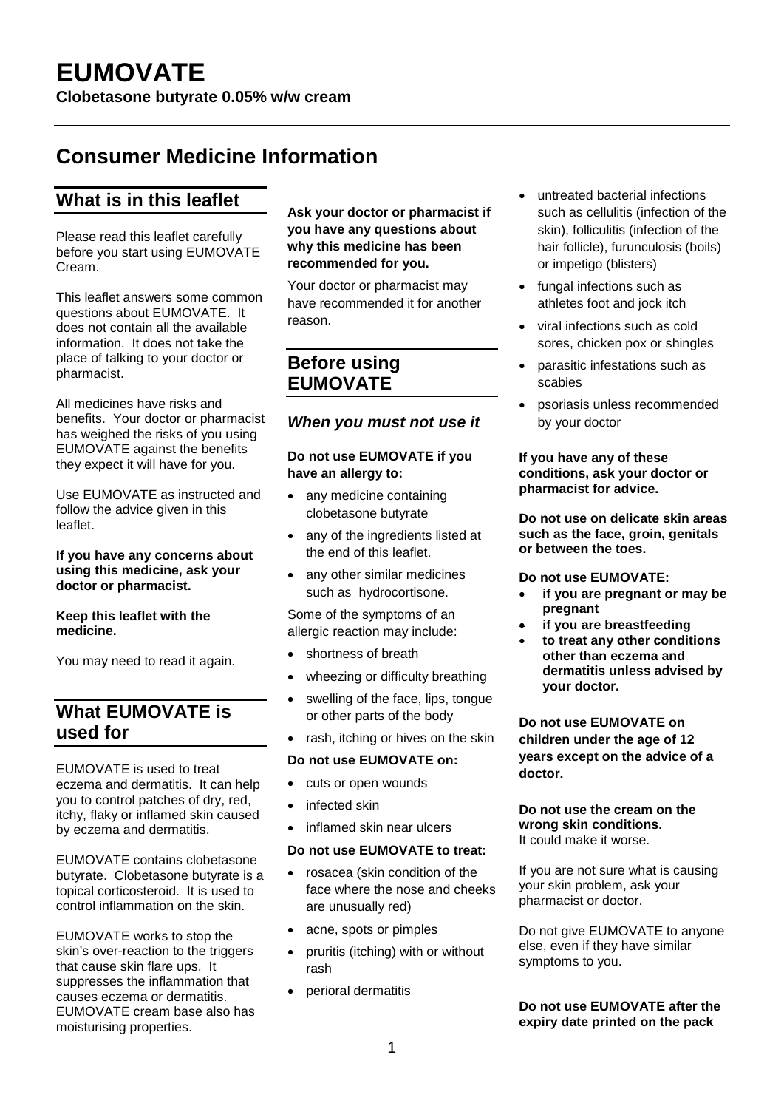# **Consumer Medicine Information**

# **What is in this leaflet**

Please read this leaflet carefully before you start using EUMOVATE Cream.

This leaflet answers some common questions about EUMOVATE. It does not contain all the available information. It does not take the place of talking to your doctor or pharmacist.

All medicines have risks and benefits. Your doctor or pharmacist has weighed the risks of you using EUMOVATE against the benefits they expect it will have for you.

Use EUMOVATE as instructed and follow the advice given in this leaflet.

#### **If you have any concerns about using this medicine, ask your doctor or pharmacist.**

### **Keep this leaflet with the medicine.**

You may need to read it again.

# **What EUMOVATE is used for**

EUMOVATE is used to treat eczema and dermatitis. It can help you to control patches of dry, red, itchy, flaky or inflamed skin caused by eczema and dermatitis.

EUMOVATE contains clobetasone butyrate. Clobetasone butyrate is a topical corticosteroid. It is used to control inflammation on the skin.

EUMOVATE works to stop the skin's over-reaction to the triggers that cause skin flare ups. It suppresses the inflammation that causes eczema or dermatitis. EUMOVATE cream base also has moisturising properties.

### **Ask your doctor or pharmacist if you have any questions about why this medicine has been recommended for you.**

Your doctor or pharmacist may have recommended it for another reason.

### **Before using EUMOVATE**

### *When you must not use it*

### **Do not use EUMOVATE if you have an allergy to:**

- any medicine containing clobetasone butyrate
- any of the ingredients listed at the end of this leaflet.
- any other similar medicines such as hydrocortisone.

Some of the symptoms of an allergic reaction may include:

- shortness of breath
- wheezing or difficulty breathing
- swelling of the face, lips, tongue or other parts of the body
- rash, itching or hives on the skin

### **Do not use EUMOVATE on:**

- cuts or open wounds
- infected skin
- inflamed skin near ulcers

### **Do not use EUMOVATE to treat:**

- rosacea (skin condition of the face where the nose and cheeks are unusually red)
- acne, spots or pimples
- pruritis (itching) with or without rash
- perioral dermatitis
- untreated bacterial infections such as cellulitis (infection of the skin), folliculitis (infection of the hair follicle), furunculosis (boils) or impetigo (blisters)
- fungal infections such as athletes foot and jock itch
- viral infections such as cold sores, chicken pox or shingles
- parasitic infestations such as scabies
- psoriasis unless recommended by your doctor

#### **If you have any of these conditions, ask your doctor or pharmacist for advice.**

**Do not use on delicate skin areas such as the face, groin, genitals or between the toes.** 

### **Do not use EUMOVATE:**

- **if you are pregnant or may be pregnant**
- **if you are breastfeeding**
- **to treat any other conditions other than eczema and dermatitis unless advised by your doctor.**

**Do not use EUMOVATE on children under the age of 12 years except on the advice of a doctor.** 

#### **Do not use the cream on the wrong skin conditions.** It could make it worse.

If you are not sure what is causing your skin problem, ask your pharmacist or doctor.

Do not give EUMOVATE to anyone else, even if they have similar symptoms to you.

### **Do not use EUMOVATE after the expiry date printed on the pack**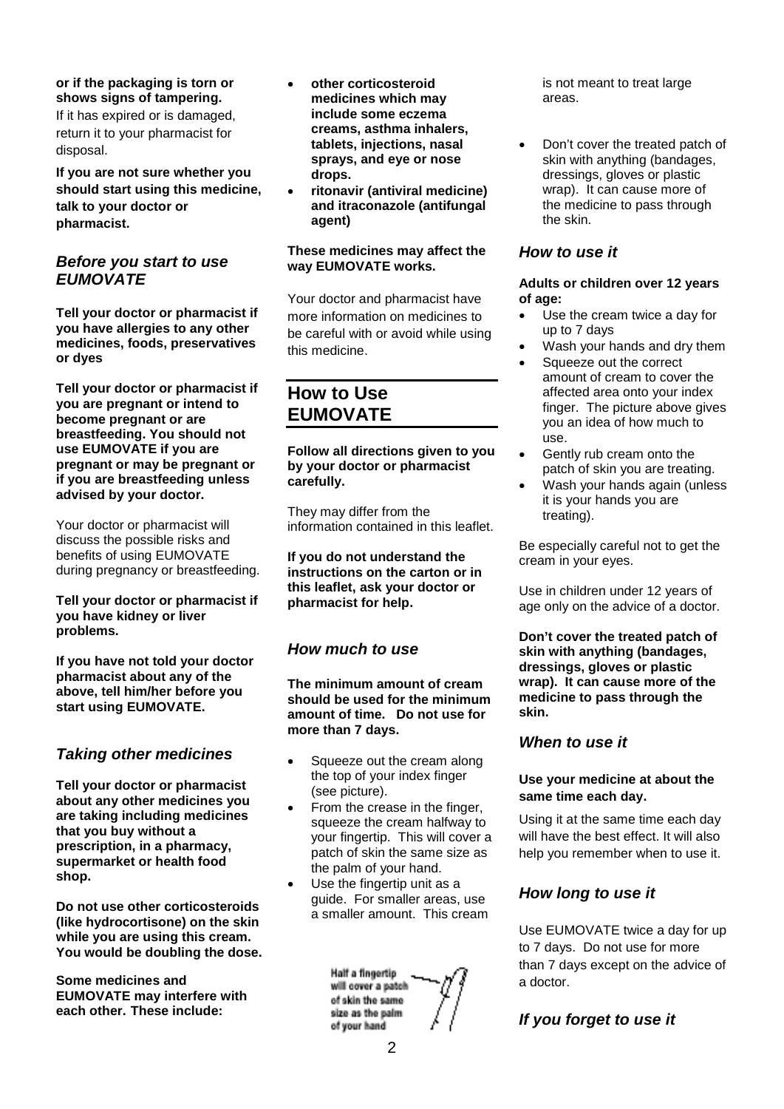### **or if the packaging is torn or shows signs of tampering.**

If it has expired or is damaged, return it to your pharmacist for disposal.

**If you are not sure whether you should start using this medicine, talk to your doctor or pharmacist.** 

### *Before you start to use EUMOVATE*

**Tell your doctor or pharmacist if you have allergies to any other medicines, foods, preservatives or dyes**

**Tell your doctor or pharmacist if you are pregnant or intend to become pregnant or are breastfeeding. You should not use EUMOVATE if you are pregnant or may be pregnant or if you are breastfeeding unless advised by your doctor.**

Your doctor or pharmacist will discuss the possible risks and benefits of using EUMOVATE during pregnancy or breastfeeding.

**Tell your doctor or pharmacist if you have kidney or liver problems.**

**If you have not told your doctor pharmacist about any of the above, tell him/her before you start using EUMOVATE.** 

### *Taking other medicines*

**Tell your doctor or pharmacist about any other medicines you are taking including medicines that you buy without a prescription, in a pharmacy, supermarket or health food shop.**

**Do not use other corticosteroids (like hydrocortisone) on the skin while you are using this cream. You would be doubling the dose.**

**Some medicines and EUMOVATE may interfere with each other. These include:**

- **other corticosteroid medicines which may include some eczema creams, asthma inhalers, tablets, injections, nasal sprays, and eye or nose drops.**
- **ritonavir (antiviral medicine) and itraconazole (antifungal agent)**

#### **These medicines may affect the way EUMOVATE works.**

Your doctor and pharmacist have more information on medicines to be careful with or avoid while using this medicine.

# **How to Use EUMOVATE**

**Follow all directions given to you by your doctor or pharmacist carefully.**

They may differ from the information contained in this leaflet.

**If you do not understand the instructions on the carton or in this leaflet, ask your doctor or pharmacist for help.**

### *How much to use*

**The minimum amount of cream should be used for the minimum amount of time. Do not use for more than 7 days.**

- Squeeze out the cream along the top of your index finger (see picture).
- From the crease in the finger, squeeze the cream halfway to your fingertip. This will cover a patch of skin the same size as the palm of your hand.
- Use the fingertip unit as a guide. For smaller areas, use a smaller amount. This cream

**Half a finoertip** will cover a patch of skin the same size as the palm. of your hand

is not meant to treat large areas.

• Don't cover the treated patch of skin with anything (bandages, dressings, gloves or plastic wrap). It can cause more of the medicine to pass through the skin.

### *How to use it*

#### **Adults or children over 12 years of age:**

- Use the cream twice a day for up to 7 days
- Wash your hands and dry them
- Squeeze out the correct amount of cream to cover the affected area onto your index finger. The picture above gives you an idea of how much to use.
- Gently rub cream onto the patch of skin you are treating.
- Wash your hands again (unless it is your hands you are treating).

Be especially careful not to get the cream in your eyes.

Use in children under 12 years of age only on the advice of a doctor.

**Don't cover the treated patch of skin with anything (bandages, dressings, gloves or plastic wrap). It can cause more of the medicine to pass through the skin.**

### *When to use it*

### **Use your medicine at about the same time each day.**

Using it at the same time each day will have the best effect. It will also help you remember when to use it.

### *How long to use it*

Use EUMOVATE twice a day for up to 7 days. Do not use for more than 7 days except on the advice of a doctor.

### *If you forget to use it*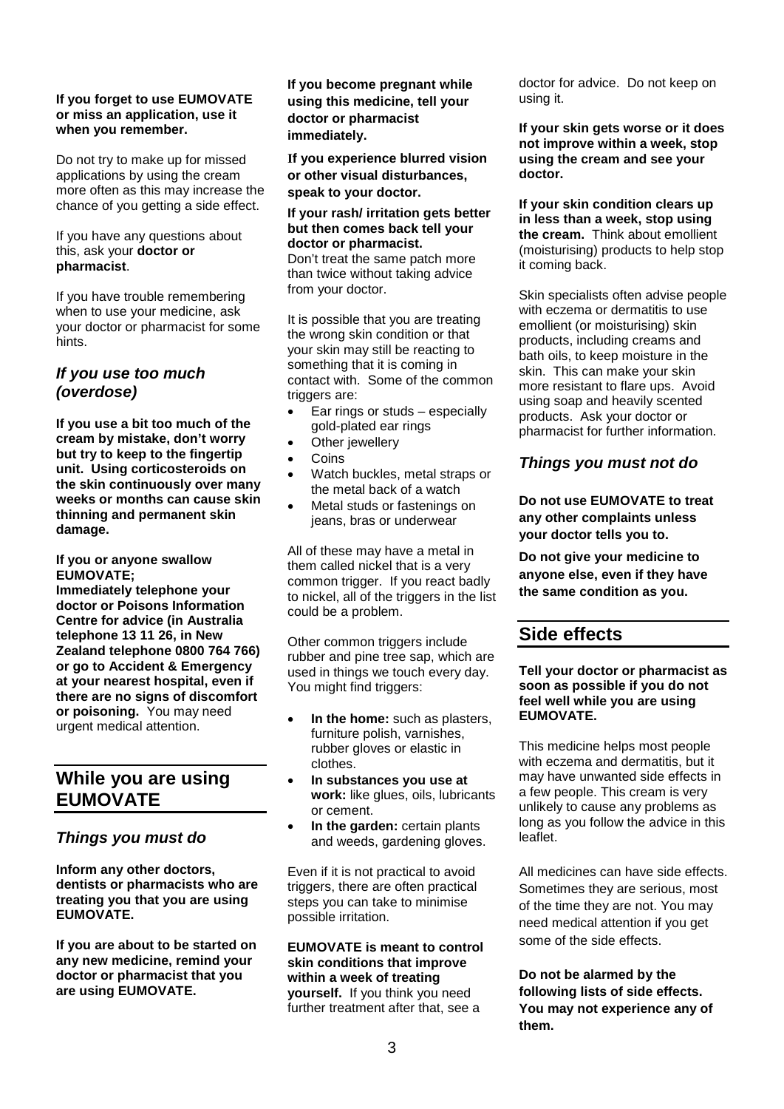#### **If you forget to use EUMOVATE or miss an application, use it when you remember.**

Do not try to make up for missed applications by using the cream more often as this may increase the chance of you getting a side effect.

If you have any questions about this, ask your **doctor or pharmacist**.

If you have trouble remembering when to use your medicine, ask your doctor or pharmacist for some hints.

### *If you use too much (overdose)*

**If you use a bit too much of the cream by mistake, don't worry but try to keep to the fingertip unit. Using corticosteroids on the skin continuously over many weeks or months can cause skin thinning and permanent skin damage.**

**If you or anyone swallow EUMOVATE; Immediately telephone your** 

**doctor or Poisons Information Centre for advice (in Australia telephone 13 11 26, in New Zealand telephone 0800 764 766) or go to Accident & Emergency at your nearest hospital, even if there are no signs of discomfort or poisoning.** You may need urgent medical attention.

# **While you are using EUMOVATE**

### *Things you must do*

**Inform any other doctors, dentists or pharmacists who are treating you that you are using EUMOVATE.**

**If you are about to be started on any new medicine, remind your doctor or pharmacist that you are using EUMOVATE.**

**If you become pregnant while using this medicine, tell your doctor or pharmacist immediately.**

**If you experience blurred vision or other visual disturbances, speak to your doctor.**

#### **If your rash/ irritation gets better but then comes back tell your doctor or pharmacist.**

Don't treat the same patch more than twice without taking advice from your doctor.

It is possible that you are treating the wrong skin condition or that your skin may still be reacting to something that it is coming in contact with. Some of the common triggers are:

- Ear rings or studs especially gold-plated ear rings
- Other jewellery
- Coins
- Watch buckles, metal straps or the metal back of a watch
- Metal studs or fastenings on jeans, bras or underwear

All of these may have a metal in them called nickel that is a very common trigger. If you react badly to nickel, all of the triggers in the list could be a problem.

Other common triggers include rubber and pine tree sap, which are used in things we touch every day. You might find triggers:

- **In the home:** such as plasters, furniture polish, varnishes, rubber gloves or elastic in clothes.
- **In substances you use at work:** like glues, oils, lubricants or cement.
- In the garden: certain plants and weeds, gardening gloves.

Even if it is not practical to avoid triggers, there are often practical steps you can take to minimise possible irritation.

**EUMOVATE is meant to control skin conditions that improve within a week of treating yourself.** If you think you need further treatment after that, see a

doctor for advice. Do not keep on using it.

**If your skin gets worse or it does not improve within a week, stop using the cream and see your doctor.**

**If your skin condition clears up in less than a week, stop using the cream.** Think about emollient (moisturising) products to help stop it coming back.

Skin specialists often advise people with eczema or dermatitis to use emollient (or moisturising) skin products, including creams and bath oils, to keep moisture in the skin. This can make your skin more resistant to flare ups. Avoid using soap and heavily scented products. Ask your doctor or pharmacist for further information.

### *Things you must not do*

**Do not use EUMOVATE to treat any other complaints unless your doctor tells you to.** 

**Do not give your medicine to anyone else, even if they have the same condition as you.** 

# **Side effects**

**Tell your doctor or pharmacist as soon as possible if you do not feel well while you are using EUMOVATE.**

This medicine helps most people with eczema and dermatitis, but it may have unwanted side effects in a few people. This cream is very unlikely to cause any problems as long as you follow the advice in this leaflet.

All medicines can have side effects. Sometimes they are serious, most of the time they are not. You may need medical attention if you get some of the side effects.

**Do not be alarmed by the following lists of side effects. You may not experience any of them.**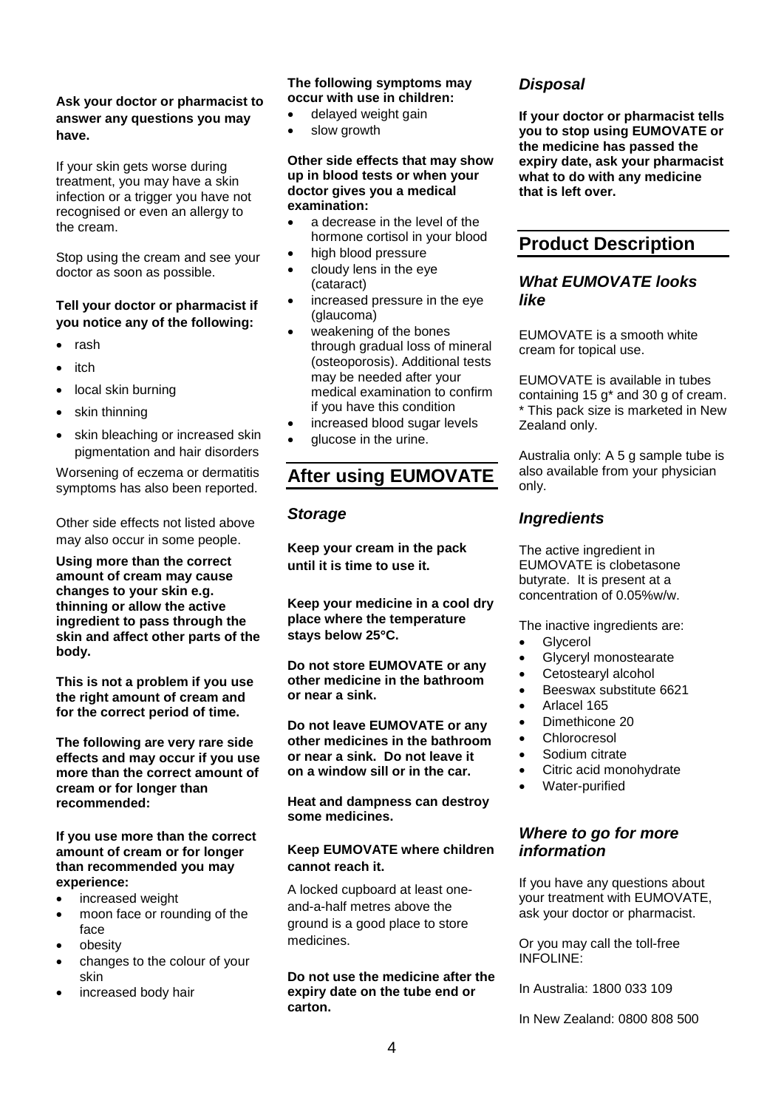### **Ask your doctor or pharmacist to answer any questions you may have.**

If your skin gets worse during treatment, you may have a skin infection or a trigger you have not recognised or even an allergy to the cream.

Stop using the cream and see your doctor as soon as possible.

### **Tell your doctor or pharmacist if you notice any of the following:**

- rash
- itch
- local skin burning
- skin thinning
- skin bleaching or increased skin pigmentation and hair disorders

Worsening of eczema or dermatitis symptoms has also been reported.

Other side effects not listed above may also occur in some people.

**Using more than the correct amount of cream may cause changes to your skin e.g. thinning or allow the active ingredient to pass through the skin and affect other parts of the body.** 

**This is not a problem if you use the right amount of cream and for the correct period of time.**

**The following are very rare side effects and may occur if you use more than the correct amount of cream or for longer than recommended:** 

#### **If you use more than the correct amount of cream or for longer than recommended you may experience:**

- increased weight
- moon face or rounding of the face
- obesity
- changes to the colour of your skin
- increased body hair

### **The following symptoms may occur with use in children:**

- delayed weight gain
- slow growth

#### **Other side effects that may show up in blood tests or when your doctor gives you a medical examination:**

- a decrease in the level of the hormone cortisol in your blood
- high blood pressure
- cloudy lens in the eye (cataract)
- increased pressure in the eye (glaucoma)
- weakening of the bones through gradual loss of mineral (osteoporosis). Additional tests may be needed after your medical examination to confirm if you have this condition
- increased blood sugar levels
- glucose in the urine.

# **After using EUMOVATE**

### *Storage*

**Keep your cream in the pack until it is time to use it.** 

**Keep your medicine in a cool dry place where the temperature stays below 25**°**C.** 

**Do not store EUMOVATE or any other medicine in the bathroom or near a sink.**

**Do not leave EUMOVATE or any other medicines in the bathroom or near a sink. Do not leave it on a window sill or in the car.**

**Heat and dampness can destroy some medicines.**

#### **Keep EUMOVATE where children cannot reach it.**

A locked cupboard at least oneand-a-half metres above the ground is a good place to store medicines.

#### **Do not use the medicine after the expiry date on the tube end or carton.**

### *Disposal*

**If your doctor or pharmacist tells you to stop using EUMOVATE or the medicine has passed the expiry date, ask your pharmacist what to do with any medicine that is left over.**

# **Product Description**

### *What EUMOVATE looks like*

EUMOVATE is a smooth white cream for topical use.

EUMOVATE is available in tubes containing 15 g\* and 30 g of cream. \* This pack size is marketed in New Zealand only.

Australia only: A 5 g sample tube is also available from your physician only.

### *Ingredients*

The active ingredient in EUMOVATE is clobetasone butyrate. It is present at a concentration of 0.05%w/w.

The inactive ingredients are:

- **Glycerol**
- Glyceryl monostearate
- Cetostearyl alcohol
- Beeswax substitute 6621
- Arlacel 165
- Dimethicone 20
- **Chlorocresol**
- Sodium citrate
- Citric acid monohydrate
- Water-purified

### *Where to go for more information*

If you have any questions about your treatment with EUMOVATE, ask your doctor or pharmacist.

Or you may call the toll-free INFOLINE:

In Australia: 1800 033 109

In New Zealand: 0800 808 500